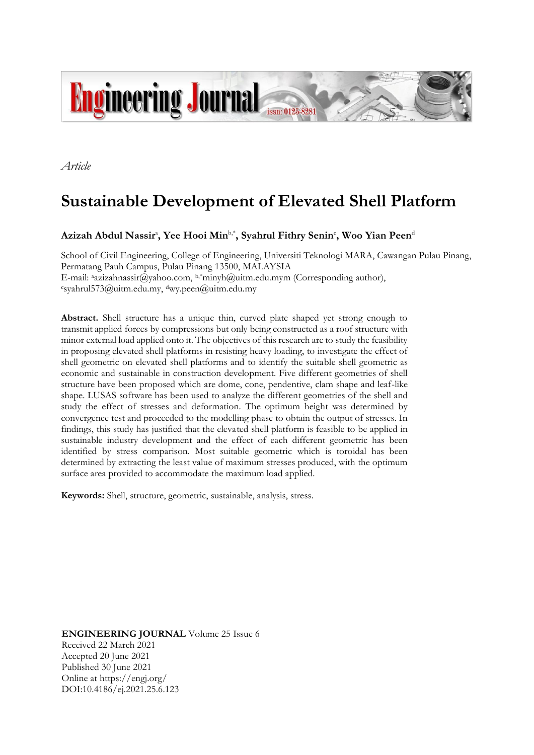

*Article*

# **Sustainable Development of Elevated Shell Platform**

## $\bold{Azizah}$  Abdul Nassir<sup>a</sup>, Yee Hooi Min<sup>b,\*</sup>, Syahrul Fithry Senin<sup>c</sup>, Woo Yian Peen<sup>d</sup>

School of Civil Engineering, College of Engineering, Universiti Teknologi MARA, Cawangan Pulau Pinang, Permatang Pauh Campus, Pulau Pinang 13500, MALAYSIA E-mail: aazizahnassir@yahoo.com, b,\*minyh@uitm.edu.mym (Corresponding author), <sup>c</sup>syahrul573@uitm.edu.my, dwy.peen@uitm.edu.my

**Abstract.** Shell structure has a unique thin, curved plate shaped yet strong enough to transmit applied forces by compressions but only being constructed as a roof structure with minor external load applied onto it. The objectives of this research are to study the feasibility in proposing elevated shell platforms in resisting heavy loading, to investigate the effect of shell geometric on elevated shell platforms and to identify the suitable shell geometric as economic and sustainable in construction development. Five different geometries of shell structure have been proposed which are dome, cone, pendentive, clam shape and leaf-like shape. LUSAS software has been used to analyze the different geometries of the shell and study the effect of stresses and deformation. The optimum height was determined by convergence test and proceeded to the modelling phase to obtain the output of stresses. In findings, this study has justified that the elevated shell platform is feasible to be applied in sustainable industry development and the effect of each different geometric has been identified by stress comparison. Most suitable geometric which is toroidal has been determined by extracting the least value of maximum stresses produced, with the optimum surface area provided to accommodate the maximum load applied.

**Keywords:** Shell, structure, geometric, sustainable, analysis, stress.

**ENGINEERING JOURNAL** Volume 25 Issue 6 Received 22 March 2021 Accepted 20 June 2021 Published 30 June 2021 Online at https://engj.org/ DOI:10.4186/ej.2021.25.6.123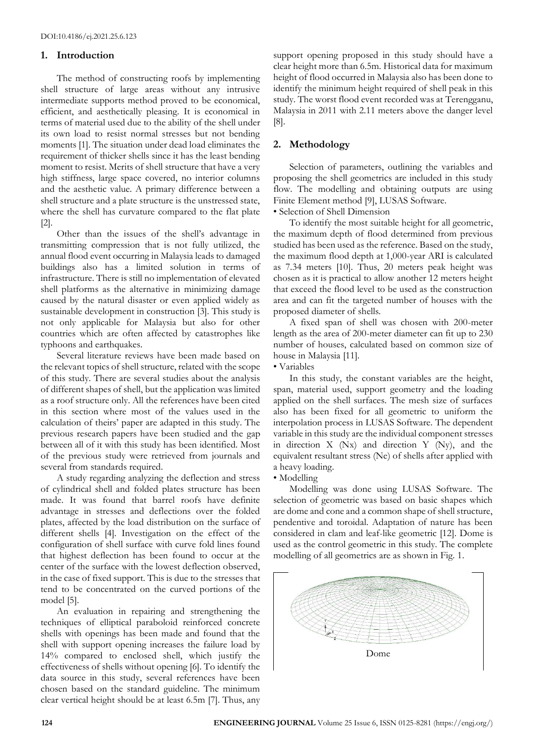## **1. Introduction**

The method of constructing roofs by implementing shell structure of large areas without any intrusive intermediate supports method proved to be economical, efficient, and aesthetically pleasing. It is economical in terms of material used due to the ability of the shell under its own load to resist normal stresses but not bending moments [1]. The situation under dead load eliminates the requirement of thicker shells since it has the least bending moment to resist. Merits of shell structure that have a very high stiffness, large space covered, no interior columns and the aesthetic value. A primary difference between a shell structure and a plate structure is the unstressed state, where the shell has curvature compared to the flat plate [2].

Other than the issues of the shell's advantage in transmitting compression that is not fully utilized, the annual flood event occurring in Malaysia leads to damaged buildings also has a limited solution in terms of infrastructure. There is still no implementation of elevated shell platforms as the alternative in minimizing damage caused by the natural disaster or even applied widely as sustainable development in construction [3]. This study is not only applicable for Malaysia but also for other countries which are often affected by catastrophes like typhoons and earthquakes.

Several literature reviews have been made based on the relevant topics of shell structure, related with the scope of this study. There are several studies about the analysis of different shapes of shell, but the application was limited as a roof structure only. All the references have been cited in this section where most of the values used in the calculation of theirs' paper are adapted in this study. The previous research papers have been studied and the gap between all of it with this study has been identified. Most of the previous study were retrieved from journals and several from standards required.

A study regarding analyzing the deflection and stress of cylindrical shell and folded plates structure has been made. It was found that barrel roofs have definite advantage in stresses and deflections over the folded plates, affected by the load distribution on the surface of different shells [4]. Investigation on the effect of the configuration of shell surface with curve fold lines found that highest deflection has been found to occur at the center of the surface with the lowest deflection observed, in the case of fixed support. This is due to the stresses that tend to be concentrated on the curved portions of the model [5].

An evaluation in repairing and strengthening the techniques of elliptical paraboloid reinforced concrete shells with openings has been made and found that the shell with support opening increases the failure load by 14% compared to enclosed shell, which justify the effectiveness of shells without opening [6]. To identify the data source in this study, several references have been chosen based on the standard guideline. The minimum clear vertical height should be at least 6.5m [7]. Thus, any

support opening proposed in this study should have a clear height more than 6.5m. Historical data for maximum height of flood occurred in Malaysia also has been done to identify the minimum height required of shell peak in this study. The worst flood event recorded was at Terengganu, Malaysia in 2011 with 2.11 meters above the danger level [8].

## **2. Methodology**

Selection of parameters, outlining the variables and proposing the shell geometrics are included in this study flow. The modelling and obtaining outputs are using Finite Element method [9], LUSAS Software.

• Selection of Shell Dimension

To identify the most suitable height for all geometric, the maximum depth of flood determined from previous studied has been used as the reference. Based on the study, the maximum flood depth at 1,000-year ARI is calculated as 7.34 meters [10]. Thus, 20 meters peak height was chosen as it is practical to allow another 12 meters height that exceed the flood level to be used as the construction area and can fit the targeted number of houses with the proposed diameter of shells.

A fixed span of shell was chosen with 200-meter length as the area of 200-meter diameter can fit up to 230 number of houses, calculated based on common size of house in Malaysia [11].

## • Variables

In this study, the constant variables are the height, span, material used, support geometry and the loading applied on the shell surfaces. The mesh size of surfaces also has been fixed for all geometric to uniform the interpolation process in LUSAS Software. The dependent variable in this study are the individual component stresses in direction X (Nx) and direction Y (Ny), and the equivalent resultant stress (Ne) of shells after applied with a heavy loading.

## • Modelling

Modelling was done using LUSAS Software. The selection of geometric was based on basic shapes which are dome and cone and a common shape of shell structure, pendentive and toroidal. Adaptation of nature has been considered in clam and leaf-like geometric [12]. Dome is used as the control geometric in this study. The complete modelling of all geometrics are as shown in Fig. 1.

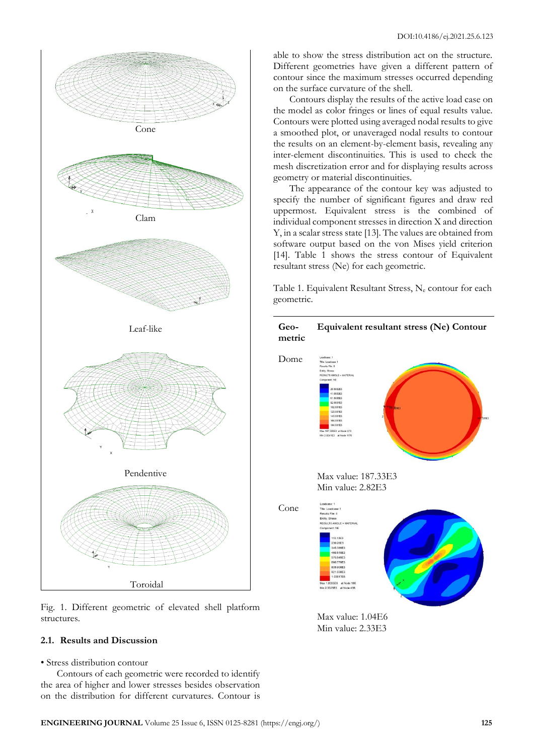

Fig. 1. Different geometric of elevated shell platform structures.

## **2.1. Results and Discussion**

• Stress distribution contour

Contours of each geometric were recorded to identify the area of higher and lower stresses besides observation on the distribution for different curvatures. Contour is able to show the stress distribution act on the structure. Different geometries have given a different pattern of contour since the maximum stresses occurred depending on the surface curvature of the shell.

Contours display the results of the active load case on the model as color fringes or lines of equal results value. Contours were plotted using averaged nodal results to give a smoothed plot, or unaveraged nodal results to contour the results on an element-by-element basis, revealing any inter-element discontinuities. This is used to check the mesh discretization error and for displaying results across geometry or material discontinuities.

The appearance of the contour key was adjusted to specify the number of significant figures and draw red uppermost. Equivalent stress is the combined of individual component stresses in direction X and direction Y, in a scalar stress state [13]. The values are obtained from software output based on the von Mises yield criterion [14]. Table 1 shows the stress contour of Equivalent resultant stress (Ne) for each geometric.

Table 1. Equivalent Resultant Stress, N<sup>e</sup> contour for each geometric.

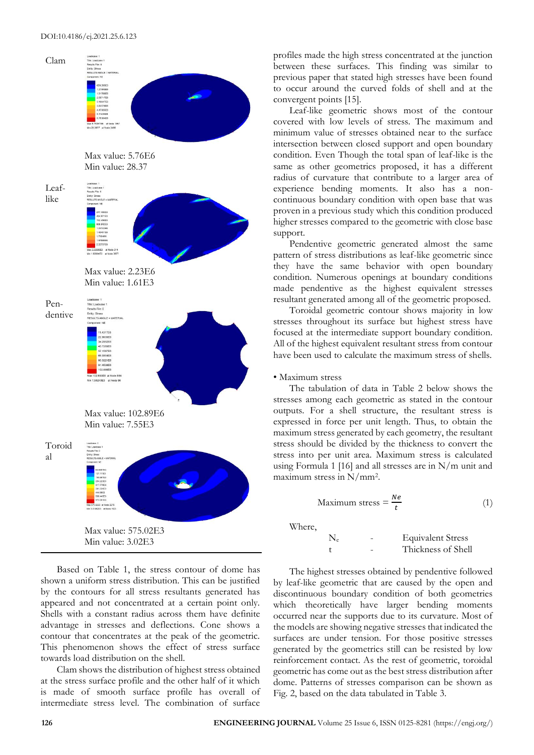

Based on Table 1, the stress contour of dome has shown a uniform stress distribution. This can be justified by the contours for all stress resultants generated has appeared and not concentrated at a certain point only. Shells with a constant radius across them have definite advantage in stresses and deflections. Cone shows a contour that concentrates at the peak of the geometric. This phenomenon shows the effect of stress surface towards load distribution on the shell.

Clam shows the distribution of highest stress obtained at the stress surface profile and the other half of it which is made of smooth surface profile has overall of intermediate stress level. The combination of surface

profiles made the high stress concentrated at the junction between these surfaces. This finding was similar to previous paper that stated high stresses have been found to occur around the curved folds of shell and at the convergent points [15].

Leaf-like geometric shows most of the contour covered with low levels of stress. The maximum and minimum value of stresses obtained near to the surface intersection between closed support and open boundary condition. Even Though the total span of leaf-like is the same as other geometrics proposed, it has a different radius of curvature that contribute to a larger area of experience bending moments. It also has a noncontinuous boundary condition with open base that was proven in a previous study which this condition produced higher stresses compared to the geometric with close base support.

Pendentive geometric generated almost the same pattern of stress distributions as leaf-like geometric since they have the same behavior with open boundary condition. Numerous openings at boundary conditions made pendentive as the highest equivalent stresses resultant generated among all of the geometric proposed.

Toroidal geometric contour shows majority in low stresses throughout its surface but highest stress have focused at the intermediate support boundary condition. All of the highest equivalent resultant stress from contour have been used to calculate the maximum stress of shells.

#### • Maximum stress

The tabulation of data in Table 2 below shows the stresses among each geometric as stated in the contour outputs. For a shell structure, the resultant stress is expressed in force per unit length. Thus, to obtain the maximum stress generated by each geometry, the resultant stress should be divided by the thickness to convert the stress into per unit area. Maximum stress is calculated using Formula 1 [16] and all stresses are in N/m unit and maximum stress in N/mm<sup>2</sup> .

Maximum stress = 
$$
\frac{Ne}{t}
$$
 (1)

Where,

 N<sup>e</sup> - Equivalent Stress t - Thickness of Shell

The highest stresses obtained by pendentive followed by leaf-like geometric that are caused by the open and discontinuous boundary condition of both geometries which theoretically have larger bending moments occurred near the supports due to its curvature. Most of the models are showing negative stresses that indicated the surfaces are under tension. For those positive stresses generated by the geometrics still can be resisted by low reinforcement contact. As the rest of geometric, toroidal geometric has come out as the best stress distribution after dome. Patterns of stresses comparison can be shown as Fig. 2, based on the data tabulated in Table 3.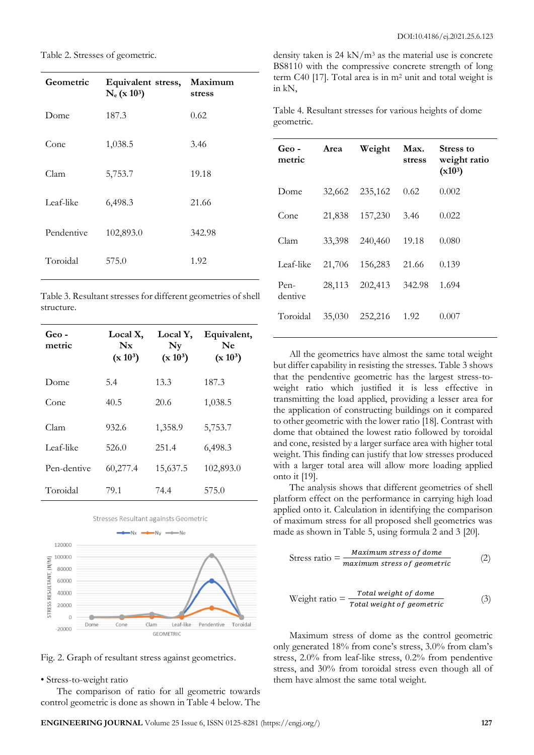Table 2. Stresses of geometric.

| Equivalent stress,<br>$N_e$ (x 103) | Maximum<br>stress |
|-------------------------------------|-------------------|
| 187.3                               | 0.62              |
| 1,038.5                             | 3.46              |
| 5,753.7                             | 19.18             |
| 6,498.3                             | 21.66             |
| 102,893.0                           | 342.98            |
| 575.0                               | 1.92              |
|                                     |                   |

Table 3. Resultant stresses for different geometries of shell structure.

| Geo -<br>metric | Local X,<br>$N_{\rm X}$<br>$(x 10^3)$ | Local Y,<br>$N_V$<br>$(x 10^3)$ | Equivalent,<br>Ne<br>$(x 10^3)$ |
|-----------------|---------------------------------------|---------------------------------|---------------------------------|
| Dome            | 5.4                                   | 13.3                            | 187.3                           |
| Cone            | 40.5                                  | 20.6                            | 1,038.5                         |
| Clam            | 932.6                                 | 1,358.9                         | 5,753.7                         |
| Leaf-like       | 526.0                                 | 251.4                           | 6,498.3                         |
| Pen-dentive     | 60,277.4                              | 15,637.5                        | 102,893.0                       |
| Toroidal        | 79.1                                  | 74.4                            | 575.0                           |



Fig. 2. Graph of resultant stress against geometrics.

## • Stress-to-weight ratio

The comparison of ratio for all geometric towards control geometric is done as shown in Table 4 below. The

density taken is 24 kN/ $m<sup>3</sup>$  as the material use is concrete BS8110 with the compressive concrete strength of long term C40 [17]. Total area is in m<sup>2</sup> unit and total weight is in kN,

Table 4. Resultant stresses for various heights of dome geometric.

| Geo-<br>metric  | Area   | Weight  | Max.<br>stress | Stress to<br>weight ratio<br>$(x10^3)$ |
|-----------------|--------|---------|----------------|----------------------------------------|
| Dome            | 32,662 | 235,162 | 0.62           | 0.002                                  |
| Cone            | 21,838 | 157,230 | 3.46           | 0.022                                  |
| Clam            | 33,398 | 240,460 | 19.18          | 0.080                                  |
| Leaf-like       | 21,706 | 156,283 | 21.66          | 0.139                                  |
| Pen-<br>dentive | 28,113 | 202,413 | 342.98         | 1.694                                  |
| Toroidal        | 35,030 | 252,216 | 1.92           | 0.007                                  |

All the geometrics have almost the same total weight but differ capability in resisting the stresses. Table 3 shows that the pendentive geometric has the largest stress-toweight ratio which justified it is less effective in transmitting the load applied, providing a lesser area for the application of constructing buildings on it compared to other geometric with the lower ratio [18]. Contrast with dome that obtained the lowest ratio followed by toroidal and cone, resisted by a larger surface area with higher total weight. This finding can justify that low stresses produced with a larger total area will allow more loading applied onto it [19].

The analysis shows that different geometries of shell platform effect on the performance in carrying high load applied onto it. Calculation in identifying the comparison of maximum stress for all proposed shell geometrics was made as shown in Table 5, using formula 2 and 3 [20].

$$
Stress ratio = \frac{Maximum stress of done}{maximum stress of geometric}
$$
 (2)

Weight ratio = 
$$
\frac{Total weight of done}{Total weight of geometric}
$$
 (3)

Maximum stress of dome as the control geometric only generated 18% from cone's stress, 3.0% from clam's stress, 2.0% from leaf-like stress, 0.2% from pendentive stress, and 30% from toroidal stress even though all of them have almost the same total weight.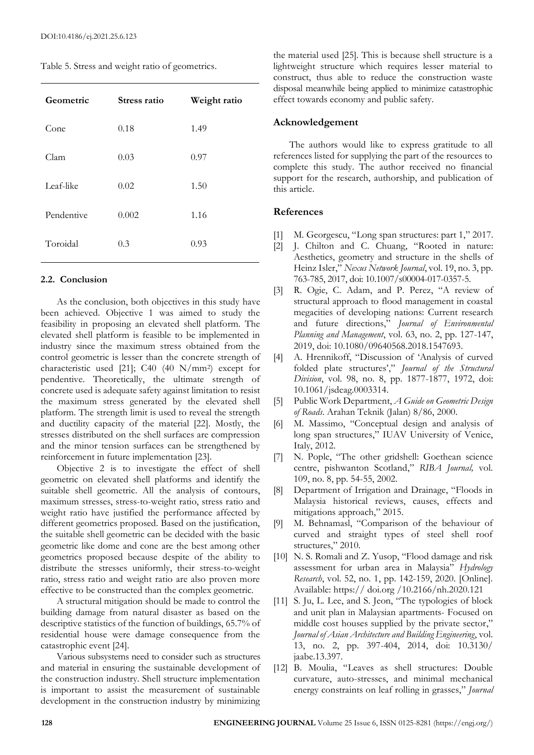|  |  |  | Table 5. Stress and weight ratio of geometrics. |
|--|--|--|-------------------------------------------------|
|  |  |  |                                                 |

| Geometric  | Stress ratio | Weight ratio |
|------------|--------------|--------------|
| Cone       | 0.18         | 1.49         |
| Clam       | 0.03         | 0.97         |
| Leaf-like  | 0.02         | 1.50         |
| Pendentive | 0.002        | 1.16         |
| Toroidal   | 0.3          | 0.93         |

#### **2.2. Conclusion**

As the conclusion, both objectives in this study have been achieved. Objective 1 was aimed to study the feasibility in proposing an elevated shell platform. The elevated shell platform is feasible to be implemented in industry since the maximum stress obtained from the control geometric is lesser than the concrete strength of characteristic used [21]; C40 (40 N/mm<sup>2</sup> ) except for pendentive. Theoretically, the ultimate strength of concrete used is adequate safety against limitation to resist the maximum stress generated by the elevated shell platform. The strength limit is used to reveal the strength and ductility capacity of the material [22]. Mostly, the stresses distributed on the shell surfaces are compression and the minor tension surfaces can be strengthened by reinforcement in future implementation [23].

Objective 2 is to investigate the effect of shell geometric on elevated shell platforms and identify the suitable shell geometric. All the analysis of contours, maximum stresses, stress-to-weight ratio, stress ratio and weight ratio have justified the performance affected by different geometrics proposed. Based on the justification, the suitable shell geometric can be decided with the basic geometric like dome and cone are the best among other geometrics proposed because despite of the ability to distribute the stresses uniformly, their stress-to-weight ratio, stress ratio and weight ratio are also proven more effective to be constructed than the complex geometric.

A structural mitigation should be made to control the building damage from natural disaster as based on the descriptive statistics of the function of buildings, 65.7% of residential house were damage consequence from the catastrophic event [24].

Various subsystems need to consider such as structures and material in ensuring the sustainable development of the construction industry. Shell structure implementation is important to assist the measurement of sustainable development in the construction industry by minimizing

the material used [25]. This is because shell structure is a lightweight structure which requires lesser material to construct, thus able to reduce the construction waste disposal meanwhile being applied to minimize catastrophic effect towards economy and public safety.

#### **Acknowledgement**

The authors would like to express gratitude to all references listed for supplying the part of the resources to complete this study. The author received no financial support for the research, authorship, and publication of this article.

## **References**

- [1] M. Georgescu, "Long span structures: part 1," 2017.
- [2] J. Chilton and C. Chuang, "Rooted in nature: Aesthetics, geometry and structure in the shells of Heinz Isler," *Nexus Network Journal*, vol. 19, no. 3, pp. 763-785, 2017, doi: 10.1007/s00004-017-0357-5.
- [3] R. Ogie, C. Adam, and P. Perez, "A review of structural approach to flood management in coastal megacities of developing nations: Current research and future directions," *Journal of Environmental Planning and Management*, vol. 63, no. 2, pp. 127-147, 2019, doi: 10.1080/09640568.2018.1547693.
- [4] A. Hrennikoff, "Discussion of 'Analysis of curved folded plate structures'," *Journal of the Structural Division*, vol. 98, no. 8, pp. 1877-1877, 1972, doi: 10.1061/jsdeag.0003314.
- [5] Public Work Department, *A Guide on Geometric Design of Roads*. Arahan Teknik (Jalan) 8/86, 2000.
- [6] M. Massimo, "Conceptual design and analysis of long span structures," IUAV University of Venice, Italy, 2012.
- [7] N. Pople, "The other gridshell: Goethean science centre, pishwanton Scotland," *RIBA Journal,* vol. 109, no. 8, pp. 54-55, 2002.
- [8] Department of Irrigation and Drainage, "Floods in Malaysia historical reviews, causes, effects and mitigations approach," 2015.
- [9] M. Behnamasl, "Comparison of the behaviour of curved and straight types of steel shell roof structures," 2010.
- [10] N. S. Romali and Z. Yusop, "Flood damage and risk assessment for urban area in Malaysia" *Hydrology Research*, vol. 52, no. 1, pp. 142-159, 2020. [Online]. Available: https:// doi.org /10.2166/nh.2020.121
- [11] S. Ju, L. Lee, and S. Jeon, "The typologies of block and unit plan in Malaysian apartments- Focused on middle cost houses supplied by the private sector," *Journal of Asian Architecture and Building Engineering*, vol. 13, no. 2, pp. 397-404, 2014, doi: 10.3130/ jaabe.13.397.
- [12] B. Moulia, "Leaves as shell structures: Double curvature, auto-stresses, and minimal mechanical energy constraints on leaf rolling in grasses," *Journal*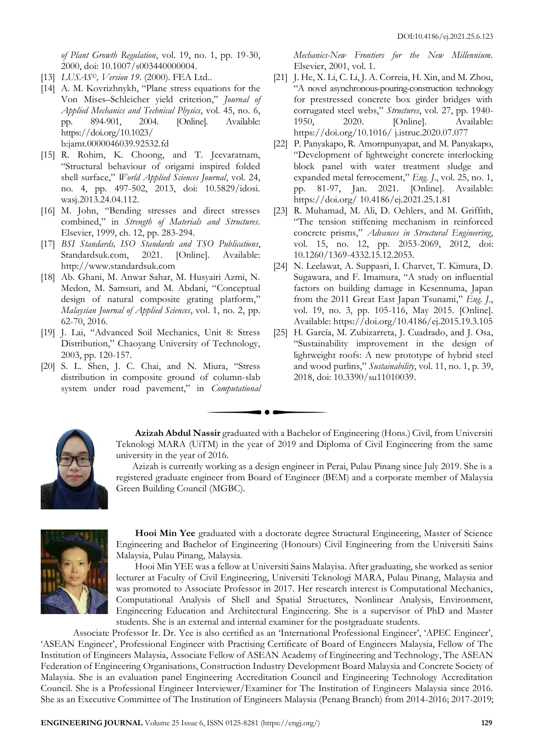*of Plant Growth Regulation*, vol. 19, no. 1, pp. 19-30, 2000, doi: 10.1007/s003440000004.

- [13] *LUSAS©, Version 19*. (2000). FEA Ltd..
- [14] A. M. Kovrizhnykh, "Plane stress equations for the Von Mises–Schleicher yield criterion," *Journal of Applied Mechanics and Technical Physics*, vol. 45, no. 6, pp. 894-901, 2004. [Online]. Available: https://doi.org/10.1023/ b:jamt.0000046039.92532.fd
- [15] R. Rohim, K. Choong, and T. Jeevaratnam, "Structural behaviour of origami inspired folded shell surface," *World Applied Sciences Journal*, vol. 24, no. 4, pp. 497-502, 2013, doi: 10.5829/idosi. wasj.2013.24.04.112.
- [16] M. John, "Bending stresses and direct stresses combined," in *Strength of Materials and Structures*. Elsevier, 1999, ch. 12, pp. 283-294.
- [17] *BSI Standards, ISO Standards and TSO Publications*, Standardsuk.com, 2021. [Online]. Available: http://www.standardsuk.com
- [18] Ab. Ghani, M. Anwar Sahar, M. Husyairi Azmi, N. Medon, M. Samsuri, and M. Abdani, "Conceptual design of natural composite grating platform," *Malaysian Journal of Applied Sciences*, vol. 1, no. 2, pp. 62-70, 2016.
- [19] J. Lai, "Advanced Soil Mechanics, Unit 8: Stress Distribution," Chaoyang University of Technology, 2003, pp. 120-157.
- [20] S. L. Shen, J. C. Chai, and N. Miura, "Stress distribution in composite ground of column-slab system under road pavement," in *Computational*

*Mechanics-New Frontiers for the New Millennium*. Elsevier, 2001, vol. 1.

- [21] J. He, X. Li, C. Li, J. A. Correia, H. Xin, and M. Zhou, "A novel asynchronous-pouring-construction technology for prestressed concrete box girder bridges with corrugated steel webs," *Structures*, vol. 27, pp. 1940- 1950, 2020. [Online]. Available: https://doi.org/10.1016/ j.istruc.2020.07.077
- [22] P. Panyakapo, R. Amornpunyapat, and M. Panyakapo, "Development of lightweight concrete interlocking block panel with water treatment sludge and expanded metal ferrocement," *Eng. J*., vol. 25, no. 1, pp. 81-97, Jan. 2021. [Online]. Available: https://doi.org/ 10.4186/ej.2021.25.1.81
- [23] R. Muhamad, M. Ali, D. Oehlers, and M. Griffith, "The tension stiffening mechanism in reinforced concrete prisms," *Advances in Structural Engineering*, vol. 15, no. 12, pp. 2053-2069, 2012, doi: 10.1260/1369-4332.15.12.2053.
- [24] N. Leelawat, A. Suppasri, I. Charvet, T. Kimura, D. Sugawara, and F. Imamura, "A study on influential factors on building damage in Kesennuma, Japan from the 2011 Great East Japan Tsunami," *Eng. J*., vol. 19, no. 3, pp. 105-116, May 2015. [Online]. Available: https://doi.org/10.4186/ej.2015.19.3.105
- [25] H. García, M. Zubizarreta, J. Cuadrado, and J. Osa, "Sustainability improvement in the design of lightweight roofs: A new prototype of hybrid steel and wood purlins," *Sustainability*, vol. 11, no. 1, p. 39, 2018, doi: 10.3390/su11010039.



**Azizah Abdul Nassir** graduated with a Bachelor of Engineering (Hons.) Civil, from Universiti Teknologi MARA (UiTM) in the year of 2019 and Diploma of Civil Engineering from the same university in the year of 2016.

Azizah is currently working as a design engineer in Perai, Pulau Pinang since July 2019. She is a registered graduate engineer from Board of Engineer (BEM) and a corporate member of Malaysia Green Building Council (MGBC).



**Hooi Min Yee** graduated with a doctorate degree Structural Engineering, Master of Science Engineering and Bachelor of Engineering (Honours) Civil Engineering from the Universiti Sains Malaysia, Pulau Pinang, Malaysia.

Hooi Min YEE was a fellow at Universiti Sains Malayisa. After graduating, she worked as senior lecturer at Faculty of Civil Engineering, Universiti Teknologi MARA, Pulau Pinang, Malaysia and was promoted to Associate Professor in 2017. Her research interest is Computational Mechanics, Computational Analysis of Shell and Spatial Structures, Nonlinear Analysis, Environment, Engineering Education and Architectural Engineering. She is a supervisor of PhD and Master students. She is an external and internal examiner for the postgraduate students.

Associate Professor Ir. Dr. Yee is also certified as an 'International Professional Engineer', 'APEC Engineer', 'ASEAN Engineer', Professional Engineer with Practising Certificate of Board of Engineers Malaysia, Fellow of The Institution of Engineers Malaysia, Associate Fellow of ASEAN Academy of Engineering and Technology, The ASEAN Federation of Engineering Organisations, Construction Industry Development Board Malaysia and Concrete Society of Malaysia. She is an evaluation panel Engineering Accreditation Council and Engineering Technology Accreditation Council. She is a Professional Engineer Interviewer/Examiner for The Institution of Engineers Malaysia since 2016. She as an Executive Committee of The Institution of Engineers Malaysia (Penang Branch) from 2014-2016; 2017-2019;